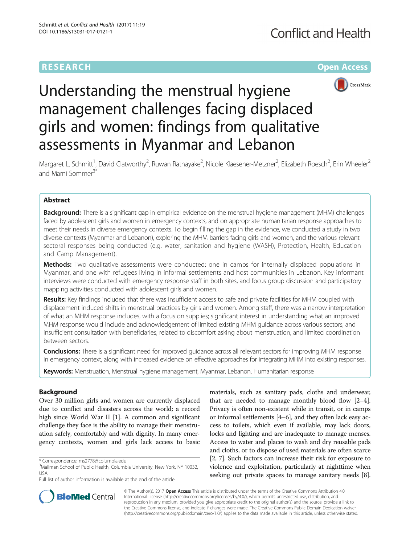## **RESEARCH CHE Open Access**



# Understanding the menstrual hygiene management challenges facing displaced girls and women: findings from qualitative assessments in Myanmar and Lebanon

Margaret L. Schmitt<sup>1</sup>, David Clatworthy<sup>2</sup>, Ruwan Ratnayake<sup>2</sup>, Nicole Klaesener-Metzner<sup>2</sup>, Elizabeth Roesch<sup>2</sup>, Erin Wheeler<sup>2</sup> and Marni Sommer<sup>3\*</sup>

## Abstract

Background: There is a significant gap in empirical evidence on the menstrual hygiene management (MHM) challenges faced by adolescent girls and women in emergency contexts, and on appropriate humanitarian response approaches to meet their needs in diverse emergency contexts. To begin filling the gap in the evidence, we conducted a study in two diverse contexts (Myanmar and Lebanon), exploring the MHM barriers facing girls and women, and the various relevant sectoral responses being conducted (e.g. water, sanitation and hygiene (WASH), Protection, Health, Education and Camp Management).

**Methods:** Two qualitative assessments were conducted: one in camps for internally displaced populations in Myanmar, and one with refugees living in informal settlements and host communities in Lebanon. Key informant interviews were conducted with emergency response staff in both sites, and focus group discussion and participatory mapping activities conducted with adolescent girls and women.

Results: Key findings included that there was insufficient access to safe and private facilities for MHM coupled with displacement induced shifts in menstrual practices by girls and women. Among staff, there was a narrow interpretation of what an MHM response includes, with a focus on supplies; significant interest in understanding what an improved MHM response would include and acknowledgement of limited existing MHM guidance across various sectors; and insufficient consultation with beneficiaries, related to discomfort asking about menstruation, and limited coordination between sectors.

Conclusions: There is a significant need for improved guidance across all relevant sectors for improving MHM response in emergency context, along with increased evidence on effective approaches for integrating MHM into existing responses.

Keywords: Menstruation, Menstrual hygiene management, Myanmar, Lebanon, Humanitarian response

## Background

Over 30 million girls and women are currently displaced due to conflict and disasters across the world; a record high since World War II [[1\]](#page-10-0). A common and significant challenge they face is the ability to manage their menstruation safely, comfortably and with dignity. In many emergency contexts, women and girls lack access to basic

materials, such as sanitary pads, cloths and underwear, that are needed to manage monthly blood flow [[2](#page-10-0)–[4](#page-10-0)]. Privacy is often non-existent while in transit, or in camps or informal settlements [\[4](#page-10-0)–[6\]](#page-10-0), and they often lack easy access to toilets, which even if available, may lack doors, locks and lighting and are inadequate to manage menses. Access to water and places to wash and dry reusable pads and cloths, or to dispose of used materials are often scarce [[2, 7\]](#page-10-0). Such factors can increase their risk for exposure to violence and exploitation, particularly at nighttime when seeking out private spaces to manage sanitary needs [[8](#page-10-0)].



© The Author(s). 2017 **Open Access** This article is distributed under the terms of the Creative Commons Attribution 4.0 International License [\(http://creativecommons.org/licenses/by/4.0/](http://creativecommons.org/licenses/by/4.0/)), which permits unrestricted use, distribution, and reproduction in any medium, provided you give appropriate credit to the original author(s) and the source, provide a link to the Creative Commons license, and indicate if changes were made. The Creative Commons Public Domain Dedication waiver [\(http://creativecommons.org/publicdomain/zero/1.0/](http://creativecommons.org/publicdomain/zero/1.0/)) applies to the data made available in this article, unless otherwise stated.

<sup>\*</sup> Correspondence: [ms2778@columbia.edu](mailto:ms2778@columbia.edu) <sup>3</sup>

<sup>&</sup>lt;sup>3</sup>Mailman School of Public Health, Columbia University, New York, NY 10032, USA

Full list of author information is available at the end of the article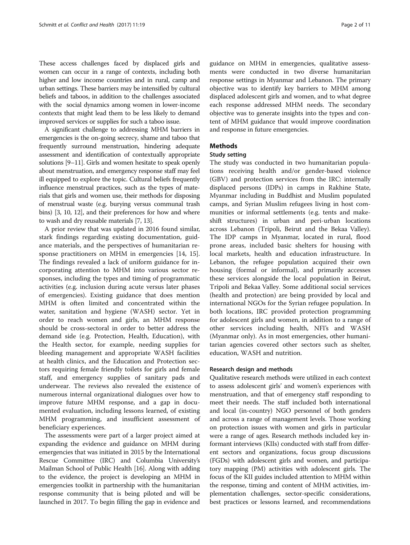These access challenges faced by displaced girls and women can occur in a range of contexts, including both higher and low income countries and in rural, camp and urban settings. These barriers may be intensified by cultural beliefs and taboos, in addition to the challenges associated with the social dynamics among women in lower-income contexts that might lead them to be less likely to demand improved services or supplies for such a taboo issue.

A significant challenge to addressing MHM barriers in emergencies is the on-going secrecy, shame and taboo that frequently surround menstruation, hindering adequate assessment and identification of contextually appropriate solutions [[9](#page-10-0)–[11\]](#page-10-0). Girls and women hesitate to speak openly about menstruation, and emergency response staff may feel ill equipped to explore the topic. Cultural beliefs frequently influence menstrual practices, such as the types of materials that girls and women use, their methods for disposing of menstrual waste (e.g. burying versus communal trash bins) [\[3](#page-10-0), [10](#page-10-0), [12](#page-10-0)], and their preferences for how and where to wash and dry reusable materials [\[7, 13\]](#page-10-0).

A prior review that was updated in 2016 found similar, stark findings regarding existing documentation, guidance materials, and the perspectives of humanitarian response practitioners on MHM in emergencies [\[14, 15](#page-10-0)]. The findings revealed a lack of uniform guidance for incorporating attention to MHM into various sector responses, including the types and timing of programmatic activities (e.g. inclusion during acute versus later phases of emergencies). Existing guidance that does mention MHM is often limited and concentrated within the water, sanitation and hygiene (WASH) sector. Yet in order to reach women and girls, an MHM response should be cross-sectoral in order to better address the demand side (e.g. Protection, Health, Education), with the Health sector, for example, needing supplies for bleeding management and appropriate WASH facilities at health clinics, and the Education and Protection sectors requiring female friendly toilets for girls and female staff, and emergency supplies of sanitary pads and underwear. The reviews also revealed the existence of numerous internal organizational dialogues over how to improve future MHM response, and a gap in documented evaluation, including lessons learned, of existing MHM programming, and insufficient assessment of beneficiary experiences.

The assessments were part of a larger project aimed at expanding the evidence and guidance on MHM during emergencies that was initiated in 2015 by the International Rescue Committee (IRC) and Columbia University's Mailman School of Public Health [[16](#page-10-0)]. Along with adding to the evidence, the project is developing an MHM in emergencies toolkit in partnership with the humanitarian response community that is being piloted and will be launched in 2017. To begin filling the gap in evidence and guidance on MHM in emergencies, qualitative assessments were conducted in two diverse humanitarian response settings in Myanmar and Lebanon. The primary objective was to identify key barriers to MHM among displaced adolescent girls and women, and to what degree each response addressed MHM needs. The secondary objective was to generate insights into the types and content of MHM guidance that would improve coordination and response in future emergencies.

## **Methods**

## Study setting

The study was conducted in two humanitarian populations receiving health and/or gender-based violence (GBV) and protection services from the IRC: internally displaced persons (IDPs) in camps in Rakhine State, Myanmar including in Buddhist and Muslim populated camps, and Syrian Muslim refugees living in host communities or informal settlements (e.g. tents and makeshift structures) in urban and peri-urban locations across Lebanon (Tripoli, Beirut and the Bekaa Valley). The IDP camps in Myanmar, located in rural, flood prone areas, included basic shelters for housing with local markets, health and education infrastructure. In Lebanon, the refugee population acquired their own housing (formal or informal), and primarily accesses these services alongside the local population in Beirut, Tripoli and Bekaa Valley. Some additional social services (health and protection) are being provided by local and international NGOs for the Syrian refugee population. In both locations, IRC provided protection programming for adolescent girls and women, in addition to a range of other services including health, NFI's and WASH (Myanmar only). As in most emergencies, other humanitarian agencies covered other sectors such as shelter, education, WASH and nutrition.

### Research design and methods

Qualitative research methods were utilized in each context to assess adolescent girls' and women's experiences with menstruation, and that of emergency staff responding to meet their needs. The staff included both international and local (in-country) NGO personnel of both genders and across a range of management levels. Those working on protection issues with women and girls in particular were a range of ages. Research methods included key informant interviews (KIIs) conducted with staff from different sectors and organizations, focus group discussions (FGDs) with adolescent girls and women, and participatory mapping (PM) activities with adolescent girls. The focus of the KII guides included attention to MHM within the response, timing and content of MHM activities, implementation challenges, sector-specific considerations, best practices or lessons learned, and recommendations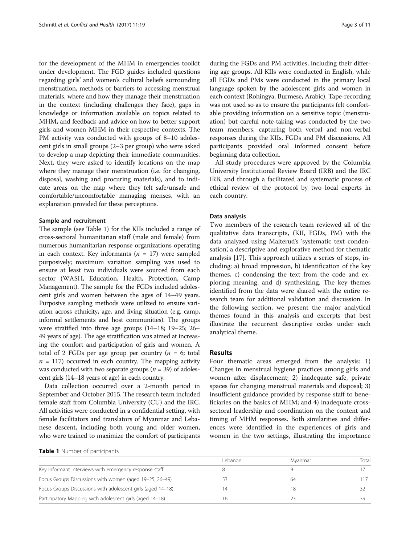for the development of the MHM in emergencies toolkit under development. The FGD guides included questions regarding girls' and women's cultural beliefs surrounding menstruation, methods or barriers to accessing menstrual materials, where and how they manage their menstruation in the context (including challenges they face), gaps in knowledge or information available on topics related to MHM, and feedback and advice on how to better support girls and women MHM in their respective contexts. The PM activity was conducted with groups of 8–10 adolescent girls in small groups (2–3 per group) who were asked to develop a map depicting their immediate communities. Next, they were asked to identify locations on the map where they manage their menstruation (i.e. for changing, disposal, washing and procuring materials), and to indicate areas on the map where they felt safe/unsafe and comfortable/uncomfortable managing menses, with an explanation provided for these perceptions.

### Sample and recruitment

The sample (see Table 1) for the KIIs included a range of cross-sectoral humanitarian staff (male and female) from numerous humanitarian response organizations operating in each context. Key informants  $(n = 17)$  were sampled purposively; maximum variation sampling was used to ensure at least two individuals were sourced from each sector (WASH, Education, Health, Protection, Camp Management). The sample for the FGDs included adolescent girls and women between the ages of 14–49 years. Purposive sampling methods were utilized to ensure variation across ethnicity, age, and living situation (e.g. camp, informal settlements and host communities). The groups were stratified into three age groups (14–18; 19–25; 26– 49 years of age). The age stratification was aimed at increasing the comfort and participation of girls and women. A total of 2 FGDs per age group per country ( $n = 6$ ; total  $n = 117$ ) occurred in each country. The mapping activity was conducted with two separate groups ( $n = 39$ ) of adolescent girls (14–18 years of age) in each country.

Data collection occurred over a 2-month period in September and October 2015. The research team included female staff from Columbia University (CU) and the IRC. All activities were conducted in a confidential setting, with female facilitators and translators of Myanmar and Lebanese descent, including both young and older women, who were trained to maximize the comfort of participants during the FGDs and PM activities, including their differing age groups. All KIIs were conducted in English, while all FGDs and PMs were conducted in the primary local language spoken by the adolescent girls and women in each context (Rohingya, Burmese, Arabic). Tape-recording was not used so as to ensure the participants felt comfortable providing information on a sensitive topic (menstruation) but careful note-taking was conducted by the two team members, capturing both verbal and non-verbal responses during the KIIs, FGDs and PM discussions. All participants provided oral informed consent before beginning data collection.

All study procedures were approved by the Columbia University Institutional Review Board (IRB) and the IRC IRB, and through a facilitated and systematic process of ethical review of the protocol by two local experts in each country.

## Data analysis

Two members of the research team reviewed all of the qualitative data transcripts, (KII, FGDs, PM) with the data analyzed using Malterud's 'systematic text condensation,' a descriptive and explorative method for thematic analysis [[17](#page-10-0)]. This approach utilizes a series of steps, including: a) broad impression, b) identification of the key themes, c) condensing the text from the code and exploring meaning, and d) synthesizing. The key themes identified from the data were shared with the entire research team for additional validation and discussion. In the following section, we present the major analytical themes found in this analysis and excerpts that best illustrate the recurrent descriptive codes under each analytical theme.

## Results

Four thematic areas emerged from the analysis: 1) Changes in menstrual hygiene practices among girls and women after displacement; 2) inadequate safe, private spaces for changing menstrual materials and disposal; 3) insufficient guidance provided by response staff to beneficiaries on the basics of MHM; and 4) inadequate crosssectoral leadership and coordination on the content and timing of MHM responses. Both similarities and differences were identified in the experiences of girls and women in the two settings, illustrating the importance

|  |  | Table 1 Number of participants |  |  |  |
|--|--|--------------------------------|--|--|--|
|--|--|--------------------------------|--|--|--|

|                                                             | l ebanon. | Mvanmar | Total |
|-------------------------------------------------------------|-----------|---------|-------|
| Key Informant Interviews with emergency response staff      |           |         |       |
| Focus Groups Discussions with women (aged 19-25; 26-49)     |           | 64      |       |
| Focus Groups Discussions with adolescent girls (aged 14–18) |           |         |       |
| Participatory Mapping with adolescent girls (aged 14–18)    |           |         | 39    |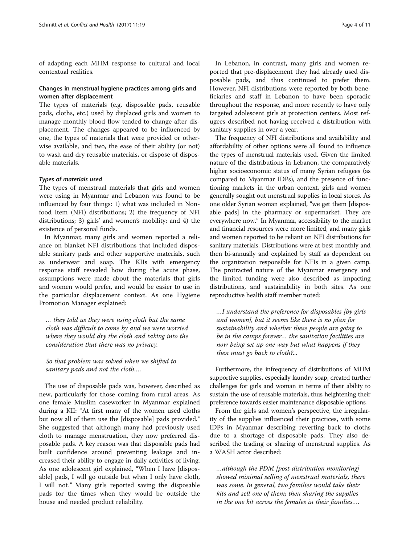of adapting each MHM response to cultural and local contextual realities.

## Changes in menstrual hygiene practices among girls and women after displacement

The types of materials (e.g. disposable pads, reusable pads, cloths, etc.) used by displaced girls and women to manage monthly blood flow tended to change after displacement. The changes appeared to be influenced by one, the types of materials that were provided or otherwise available, and two, the ease of their ability (or not) to wash and dry reusable materials, or dispose of disposable materials.

#### Types of materials used

The types of menstrual materials that girls and women were using in Myanmar and Lebanon was found to be influenced by four things: 1) what was included in Nonfood Item (NFI) distributions; 2) the frequency of NFI distributions; 3) girls' and women's mobility; and 4) the existence of personal funds.

In Myanmar, many girls and women reported a reliance on blanket NFI distributions that included disposable sanitary pads and other supportive materials, such as underwear and soap. The KIIs with emergency response staff revealed how during the acute phase, assumptions were made about the materials that girls and women would prefer, and would be easier to use in the particular displacement context. As one Hygiene Promotion Manager explained:

… they told us they were using cloth but the same cloth was difficult to come by and we were worried where they would dry the cloth and taking into the consideration that there was no privacy.

So that problem was solved when we shifted to sanitary pads and not the cloth….

The use of disposable pads was, however, described as new, particularly for those coming from rural areas. As one female Muslim caseworker in Myanmar explained during a KII: "At first many of the women used cloths but now all of them use the [disposable] pads provided." She suggested that although many had previously used cloth to manage menstruation, they now preferred disposable pads. A key reason was that disposable pads had built confidence around preventing leakage and increased their ability to engage in daily activities of living. As one adolescent girl explained, "When I have [disposable] pads, I will go outside but when I only have cloth, I will not." Many girls reported saving the disposable pads for the times when they would be outside the house and needed product reliability.

In Lebanon, in contrast, many girls and women reported that pre-displacement they had already used disposable pads, and thus continued to prefer them. However, NFI distributions were reported by both beneficiaries and staff in Lebanon to have been sporadic throughout the response, and more recently to have only targeted adolescent girls at protection centers. Most refugees described not having received a distribution with sanitary supplies in over a year.

The frequency of NFI distributions and availability and affordability of other options were all found to influence the types of menstrual materials used. Given the limited nature of the distributions in Lebanon, the comparatively higher socioeconomic status of many Syrian refugees (as compared to Myanmar IDPs), and the presence of functioning markets in the urban context, girls and women generally sought out menstrual supplies in local stores. As one older Syrian woman explained, "we get them [disposable pads] in the pharmacy or supermarket. They are everywhere now." In Myanmar, accessibility to the market and financial resources were more limited, and many girls and women reported to be reliant on NFI distributions for sanitary materials. Distributions were at best monthly and then bi-annually and explained by staff as dependent on the organization responsible for NFIs in a given camp. The protracted nature of the Myanmar emergency and the limited funding were also described as impacting distributions, and sustainability in both sites. As one reproductive health staff member noted:

…I understand the preference for disposables [by girls and women], but it seems like there is no plan for sustainability and whether these people are going to be in the camps forever… the sanitation facilities are now being set up one way but what happens if they then must go back to cloth?...

Furthermore, the infrequency of distributions of MHM supportive supplies, especially laundry soap, created further challenges for girls and woman in terms of their ability to sustain the use of reusable materials, thus heightening their preference towards easier maintenance disposable options.

From the girls and women's perspective, the irregularity of the supplies influenced their practices, with some IDPs in Myanmar describing reverting back to cloths due to a shortage of disposable pads. They also described the trading or sharing of menstrual supplies. As a WASH actor described:

…although the PDM [post-distribution monitoring] showed minimal selling of menstrual materials, there was some. In general, two families would take their kits and sell one of them; then sharing the supplies in the one kit across the females in their families….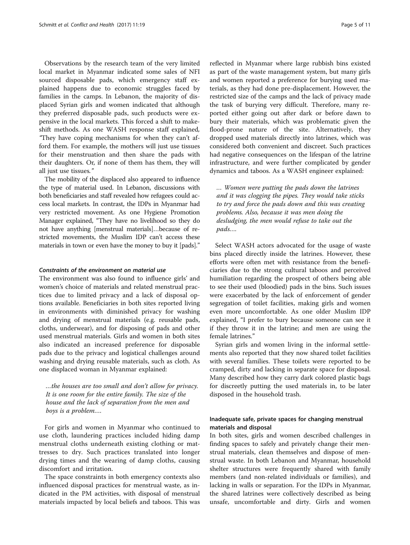Observations by the research team of the very limited local market in Myanmar indicated some sales of NFI sourced disposable pads, which emergency staff explained happens due to economic struggles faced by families in the camps. In Lebanon, the majority of displaced Syrian girls and women indicated that although they preferred disposable pads, such products were expensive in the local markets. This forced a shift to makeshift methods. As one WASH response staff explained, "They have coping mechanisms for when they can't afford them. For example, the mothers will just use tissues for their menstruation and then share the pads with their daughters. Or, if none of them has them, they will all just use tissues."

The mobility of the displaced also appeared to influence the type of material used. In Lebanon, discussions with both beneficiaries and staff revealed how refugees could access local markets. In contrast, the IDPs in Myanmar had very restricted movement. As one Hygiene Promotion Manager explained, "They have no livelihood so they do not have anything [menstrual materials]…because of restricted movements, the Muslim IDP can't access these materials in town or even have the money to buy it [pads]."

## Constraints of the environment on material use

The environment was also found to influence girls' and women's choice of materials and related menstrual practices due to limited privacy and a lack of disposal options available. Beneficiaries in both sites reported living in environments with diminished privacy for washing and drying of menstrual materials (e.g. reusable pads, cloths, underwear), and for disposing of pads and other used menstrual materials. Girls and women in both sites also indicated an increased preference for disposable pads due to the privacy and logistical challenges around washing and drying reusable materials, such as cloth. As one displaced woman in Myanmar explained:

…the houses are too small and don't allow for privacy. It is one room for the entire family. The size of the house and the lack of separation from the men and boys is a problem….

For girls and women in Myanmar who continued to use cloth, laundering practices included hiding damp menstrual cloths underneath existing clothing or mattresses to dry. Such practices translated into longer drying times and the wearing of damp cloths, causing discomfort and irritation.

The space constraints in both emergency contexts also influenced disposal practices for menstrual waste, as indicated in the PM activities, with disposal of menstrual materials impacted by local beliefs and taboos. This was reflected in Myanmar where large rubbish bins existed as part of the waste management system, but many girls and women reported a preference for burying used materials, as they had done pre-displacement. However, the restricted size of the camps and the lack of privacy made the task of burying very difficult. Therefore, many reported either going out after dark or before dawn to bury their materials, which was problematic given the flood-prone nature of the site. Alternatively, they dropped used materials directly into latrines, which was considered both convenient and discreet. Such practices had negative consequences on the lifespan of the latrine infrastructure, and were further complicated by gender dynamics and taboos. As a WASH engineer explained:

… Women were putting the pads down the latrines and it was clogging the pipes. They would take sticks to try and force the pads down and this was creating problems. Also, because it was men doing the desludging, the men would refuse to take out the pads….

Select WASH actors advocated for the usage of waste bins placed directly inside the latrines. However, these efforts were often met with resistance from the beneficiaries due to the strong cultural taboos and perceived humiliation regarding the prospect of others being able to see their used (bloodied) pads in the bins. Such issues were exacerbated by the lack of enforcement of gender segregation of toilet facilities, making girls and women even more uncomfortable. As one older Muslim IDP explained, "I prefer to bury because someone can see it if they throw it in the latrine; and men are using the female latrines."

Syrian girls and women living in the informal settlements also reported that they now shared toilet facilities with several families. These toilets were reported to be cramped, dirty and lacking in separate space for disposal. Many described how they carry dark colored plastic bags for discreetly putting the used materials in, to be later disposed in the household trash.

## Inadequate safe, private spaces for changing menstrual materials and disposal

In both sites, girls and women described challenges in finding spaces to safely and privately change their menstrual materials, clean themselves and dispose of menstrual waste. In both Lebanon and Myanmar, household shelter structures were frequently shared with family members (and non-related individuals or families), and lacking in walls or separation. For the IDPs in Myanmar, the shared latrines were collectively described as being unsafe, uncomfortable and dirty. Girls and women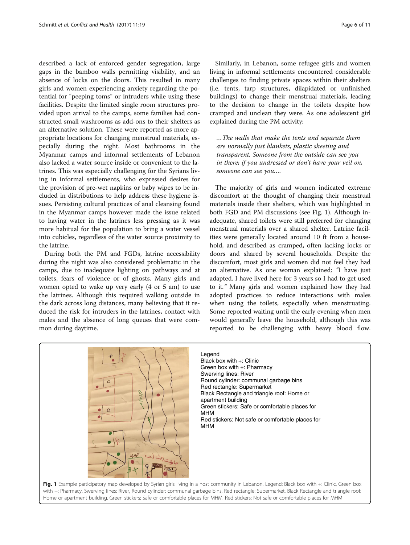described a lack of enforced gender segregation, large gaps in the bamboo walls permitting visibility, and an absence of locks on the doors. This resulted in many girls and women experiencing anxiety regarding the potential for "peeping toms" or intruders while using these facilities. Despite the limited single room structures provided upon arrival to the camps, some families had constructed small washrooms as add-ons to their shelters as an alternative solution. These were reported as more appropriate locations for changing menstrual materials, especially during the night. Most bathrooms in the Myanmar camps and informal settlements of Lebanon also lacked a water source inside or convenient to the latrines. This was especially challenging for the Syrians living in informal settlements, who expressed desires for the provision of pre-wet napkins or baby wipes to be included in distributions to help address these hygiene issues. Persisting cultural practices of anal cleansing found in the Myanmar camps however made the issue related to having water in the latrines less pressing as it was more habitual for the population to bring a water vessel into cubicles, regardless of the water source proximity to the latrine.

During both the PM and FGDs, latrine accessibility during the night was also considered problematic in the camps, due to inadequate lighting on pathways and at toilets, fears of violence or of ghosts. Many girls and women opted to wake up very early (4 or 5 am) to use the latrines. Although this required walking outside in the dark across long distances, many believing that it reduced the risk for intruders in the latrines, contact with males and the absence of long queues that were common during daytime.

Similarly, in Lebanon, some refugee girls and women living in informal settlements encountered considerable challenges to finding private spaces within their shelters (i.e. tents, tarp structures, dilapidated or unfinished buildings) to change their menstrual materials, leading to the decision to change in the toilets despite how cramped and unclean they were. As one adolescent girl explained during the PM activity:

…The walls that make the tents and separate them are normally just blankets, plastic sheeting and transparent. Someone from the outside can see you in there; if you undressed or don't have your veil on, someone can see you….

The majority of girls and women indicated extreme discomfort at the thought of changing their menstrual materials inside their shelters, which was highlighted in both FGD and PM discussions (see Fig. 1). Although inadequate, shared toilets were still preferred for changing menstrual materials over a shared shelter. Latrine facilities were generally located around 10 ft from a household, and described as cramped, often lacking locks or doors and shared by several households. Despite the discomfort, most girls and women did not feel they had an alternative. As one woman explained: "I have just adapted. I have lived here for 3 years so I had to get used to it." Many girls and women explained how they had adopted practices to reduce interactions with males when using the toilets, especially when menstruating. Some reported waiting until the early evening when men would generally leave the household, although this was reported to be challenging with heavy blood flow.

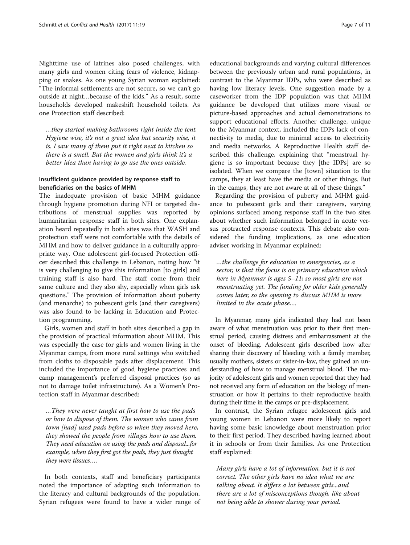Nighttime use of latrines also posed challenges, with many girls and women citing fears of violence, kidnapping or snakes. As one young Syrian woman explained: "The informal settlements are not secure, so we can't go outside at night…because of the kids." As a result, some households developed makeshift household toilets. As one Protection staff described:

…they started making bathrooms right inside the tent. Hygiene wise, it's not a great idea but security wise, it is. I saw many of them put it right next to kitchen so there is a smell. But the women and girls think it's a better idea than having to go use the ones outside.

## Insufficient guidance provided by response staff to beneficiaries on the basics of MHM

The inadequate provision of basic MHM guidance through hygiene promotion during NFI or targeted distributions of menstrual supplies was reported by humanitarian response staff in both sites. One explanation heard repeatedly in both sites was that WASH and protection staff were not comfortable with the details of MHM and how to deliver guidance in a culturally appropriate way. One adolescent girl-focused Protection officer described this challenge in Lebanon, noting how "it is very challenging to give this information [to girls] and training staff is also hard. The staff come from their same culture and they also shy, especially when girls ask questions." The provision of information about puberty (and menarche) to pubescent girls (and their caregivers) was also found to be lacking in Education and Protection programming.

Girls, women and staff in both sites described a gap in the provision of practical information about MHM. This was especially the case for girls and women living in the Myanmar camps, from more rural settings who switched from cloths to disposable pads after displacement. This included the importance of good hygiene practices and camp management's preferred disposal practices (so as not to damage toilet infrastructure). As a Women's Protection staff in Myanmar described:

…They were never taught at first how to use the pads or how to dispose of them. The women who came from town [had] used pads before so when they moved here, they showed the people from villages how to use them. They need education on using the pads and disposal...for example, when they first got the pads, they just thought they were tissues….

In both contexts, staff and beneficiary participants noted the importance of adapting such information to the literacy and cultural backgrounds of the population. Syrian refugees were found to have a wider range of

educational backgrounds and varying cultural differences between the previously urban and rural populations, in contrast to the Myanmar IDPs, who were described as having low literacy levels. One suggestion made by a caseworker from the IDP population was that MHM guidance be developed that utilizes more visual or picture-based approaches and actual demonstrations to support educational efforts. Another challenge, unique to the Myanmar context, included the IDPs lack of connectivity to media, due to minimal access to electricity and media networks. A Reproductive Health staff described this challenge, explaining that "menstrual hygiene is so important because they [the IDPs] are so isolated. When we compare the [town] situation to the camps, they at least have the media or other things. But in the camps, they are not aware at all of these things."

Regarding the provision of puberty and MHM guidance to pubescent girls and their caregivers, varying opinions surfaced among response staff in the two sites about whether such information belonged in acute versus protracted response contexts. This debate also considered the funding implications, as one education adviser working in Myanmar explained:

…the challenge for education in emergencies, as a sector, is that the focus is on primary education which here in Myanmar is ages 5–11; so most girls are not menstruating yet. The funding for older kids generally comes later, so the opening to discuss MHM is more limited in the acute phase….

In Myanmar, many girls indicated they had not been aware of what menstruation was prior to their first menstrual period, causing distress and embarrassment at the onset of bleeding. Adolescent girls described how after sharing their discovery of bleeding with a family member, usually mothers, sisters or sister-in-law, they gained an understanding of how to manage menstrual blood. The majority of adolescent girls and women reported that they had not received any form of education on the biology of menstruation or how it pertains to their reproductive health during their time in the camps or pre-displacement.

In contrast, the Syrian refugee adolescent girls and young women in Lebanon were more likely to report having some basic knowledge about menstruation prior to their first period. They described having learned about it in schools or from their families. As one Protection staff explained:

Many girls have a lot of information, but it is not correct. The other girls have no idea what we are talking about. It differs a lot between girls...and there are a lot of misconceptions though, like about not being able to shower during your period.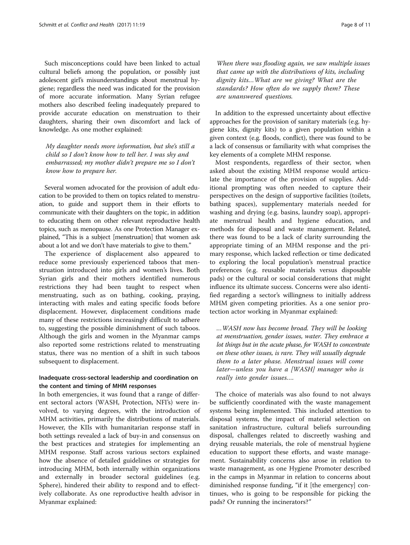Such misconceptions could have been linked to actual cultural beliefs among the population, or possibly just adolescent girl's misunderstandings about menstrual hygiene; regardless the need was indicated for the provision of more accurate information. Many Syrian refugee mothers also described feeling inadequately prepared to provide accurate education on menstruation to their daughters, sharing their own discomfort and lack of knowledge. As one mother explained:

My daughter needs more information, but she's still a child so I don't know how to tell her. I was shy and embarrassed; my mother didn't prepare me so I don't know how to prepare her.

Several women advocated for the provision of adult education to be provided to them on topics related to menstruation, to guide and support them in their efforts to communicate with their daughters on the topic, in addition to educating them on other relevant reproductive health topics, such as menopause. As one Protection Manager explained, "This is a subject [menstruation] that women ask about a lot and we don't have materials to give to them."

The experience of displacement also appeared to reduce some previously experienced taboos that menstruation introduced into girls and women's lives. Both Syrian girls and their mothers identified numerous restrictions they had been taught to respect when menstruating, such as on bathing, cooking, praying, interacting with males and eating specific foods before displacement. However, displacement conditions made many of these restrictions increasingly difficult to adhere to, suggesting the possible diminishment of such taboos. Although the girls and women in the Myanmar camps also reported some restrictions related to menstruating status, there was no mention of a shift in such taboos subsequent to displacement.

## Inadequate cross-sectoral leadership and coordination on the content and timing of MHM responses

In both emergencies, it was found that a range of different sectoral actors (WASH, Protection, NFI's) were involved, to varying degrees, with the introduction of MHM activities, primarily the distributions of materials. However, the KIIs with humanitarian response staff in both settings revealed a lack of buy-in and consensus on the best practices and strategies for implementing an MHM response. Staff across various sectors explained how the absence of detailed guidelines or strategies for introducing MHM, both internally within organizations and externally in broader sectoral guidelines (e.g. Sphere), hindered their ability to respond and to effectively collaborate. As one reproductive health advisor in Myanmar explained:

When there was flooding again, we saw multiple issues that came up with the distributions of kits, including dignity kits…What are we giving? What are the standards? How often do we supply them? These are unanswered questions.

In addition to the expressed uncertainty about effective approaches for the provision of sanitary materials (e.g. hygiene kits, dignity kits) to a given population within a given context (e.g. floods, conflict), there was found to be a lack of consensus or familiarity with what comprises the key elements of a complete MHM response.

Most respondents, regardless of their sector, when asked about the existing MHM response would articulate the importance of the provision of supplies. Additional prompting was often needed to capture their perspectives on the design of supportive facilities (toilets, bathing spaces), supplementary materials needed for washing and drying (e.g. basins, laundry soap), appropriate menstrual health and hygiene education, and methods for disposal and waste management. Related, there was found to be a lack of clarity surrounding the appropriate timing of an MHM response and the primary response, which lacked reflection or time dedicated to exploring the local population's menstrual practice preferences (e.g. reusable materials versus disposable pads) or the cultural or social considerations that might influence its ultimate success. Concerns were also identified regarding a sector's willingness to initially address MHM given competing priorities. As a one senior protection actor working in Myanmar explained:

…WASH now has become broad. They will be looking at menstruation, gender issues, water. They embrace a lot things but in the acute phase, for WASH to concentrate on these other issues, is rare. They will usually degrade them to a later phase. Menstrual issues will come later—unless you have a [WASH] manager who is really into gender issues….

The choice of materials was also found to not always be sufficiently coordinated with the waste management systems being implemented. This included attention to disposal systems, the impact of material selection on sanitation infrastructure, cultural beliefs surrounding disposal, challenges related to discreetly washing and drying reusable materials, the role of menstrual hygiene education to support these efforts, and waste management. Sustainability concerns also arose in relation to waste management, as one Hygiene Promoter described in the camps in Myanmar in relation to concerns about diminished response funding, "if it [the emergency] continues, who is going to be responsible for picking the pads? Or running the incinerators?"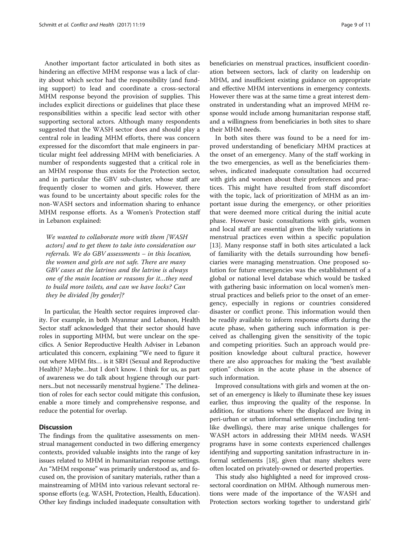Another important factor articulated in both sites as hindering an effective MHM response was a lack of clarity about which sector had the responsibility (and funding support) to lead and coordinate a cross-sectoral MHM response beyond the provision of supplies. This includes explicit directions or guidelines that place these responsibilities within a specific lead sector with other supporting sectoral actors. Although many respondents suggested that the WASH sector does and should play a central role in leading MHM efforts, there was concern expressed for the discomfort that male engineers in particular might feel addressing MHM with beneficiaries. A number of respondents suggested that a critical role in an MHM response thus exists for the Protection sector, and in particular the GBV sub-cluster, whose staff are frequently closer to women and girls. However, there was found to be uncertainty about specific roles for the non-WASH sectors and information sharing to enhance MHM response efforts. As a Women's Protection staff in Lebanon explained:

We wanted to collaborate more with them [WASH actors] and to get them to take into consideration our referrals. We do GBV assessments – in this location, the women and girls are not safe. There are many GBV cases at the latrines and the latrine is always one of the main location or reasons for it…they need to build more toilets, and can we have locks? Can they be divided [by gender]?

In particular, the Health sector requires improved clarity. For example, in both Myanmar and Lebanon, Health Sector staff acknowledged that their sector should have roles in supporting MHM, but were unclear on the specifics. A Senior Reproductive Health Adviser in Lebanon articulated this concern, explaining "We need to figure it out where MHM fits… is it SRH (Sexual and Reproductive Health)? Maybe…but I don't know. I think for us, as part of awareness we do talk about hygiene through our partners...but not necessarily menstrual hygiene." The delineation of roles for each sector could mitigate this confusion, enable a more timely and comprehensive response, and reduce the potential for overlap.

## **Discussion**

The findings from the qualitative assessments on menstrual management conducted in two differing emergency contexts, provided valuable insights into the range of key issues related to MHM in humanitarian response settings. An "MHM response" was primarily understood as, and focused on, the provision of sanitary materials, rather than a mainstreaming of MHM into various relevant sectoral response efforts (e.g. WASH, Protection, Health, Education). Other key findings included inadequate consultation with beneficiaries on menstrual practices, insufficient coordination between sectors, lack of clarity on leadership on MHM, and insufficient existing guidance on appropriate and effective MHM interventions in emergency contexts. However there was at the same time a great interest demonstrated in understanding what an improved MHM response would include among humanitarian response staff, and a willingness from beneficiaries in both sites to share their MHM needs.

In both sites there was found to be a need for improved understanding of beneficiary MHM practices at the onset of an emergency. Many of the staff working in the two emergencies, as well as the beneficiaries themselves, indicated inadequate consultation had occurred with girls and women about their preferences and practices. This might have resulted from staff discomfort with the topic, lack of prioritization of MHM as an important issue during the emergency, or other priorities that were deemed more critical during the initial acute phase. However basic consultations with girls, women and local staff are essential given the likely variations in menstrual practices even within a specific population [[13\]](#page-10-0). Many response staff in both sites articulated a lack of familiarity with the details surrounding how beneficiaries were managing menstruation. One proposed solution for future emergencies was the establishment of a global or national level database which would be tasked with gathering basic information on local women's menstrual practices and beliefs prior to the onset of an emergency, especially in regions or countries considered disaster or conflict prone. This information would then be readily available to inform response efforts during the acute phase, when gathering such information is perceived as challenging given the sensitivity of the topic and competing priorities. Such an approach would preposition knowledge about cultural practice, however there are also approaches for making the "best available option" choices in the acute phase in the absence of such information.

Improved consultations with girls and women at the onset of an emergency is likely to illuminate these key issues earlier, thus improving the quality of the response. In addition, for situations where the displaced are living in peri-urban or urban informal settlements (including tentlike dwellings), there may arise unique challenges for WASH actors in addressing their MHM needs. WASH programs have in some contexts experienced challenges identifying and supporting sanitation infrastructure in informal settlements [[18\]](#page-10-0), given that many shelters were often located on privately-owned or deserted properties.

This study also highlighted a need for improved crosssectoral coordination on MHM. Although numerous mentions were made of the importance of the WASH and Protection sectors working together to understand girls'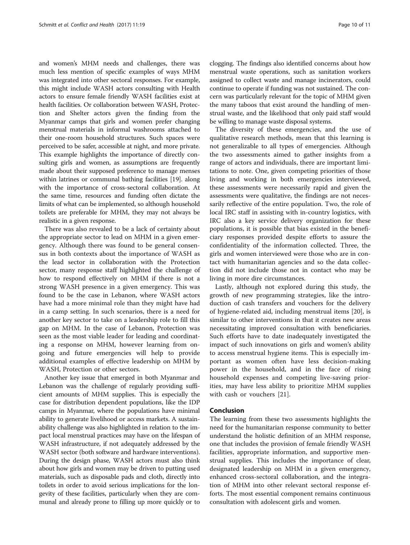and women's MHM needs and challenges, there was much less mention of specific examples of ways MHM was integrated into other sectoral responses. For example, this might include WASH actors consulting with Health actors to ensure female friendly WASH facilities exist at health facilities. Or collaboration between WASH, Protection and Shelter actors given the finding from the Myanmar camps that girls and women prefer changing menstrual materials in informal washrooms attached to their one-room household structures. Such spaces were perceived to be safer, accessible at night, and more private. This example highlights the importance of directly consulting girls and women, as assumptions are frequently made about their supposed preference to manage menses within latrines or communal bathing facilities [\[19\]](#page-10-0). along with the importance of cross-sectoral collaboration. At the same time, resources and funding often dictate the limits of what can be implemented, so although household toilets are preferable for MHM, they may not always be realistic in a given response.

There was also revealed to be a lack of certainty about the appropriate sector to lead on MHM in a given emergency. Although there was found to be general consensus in both contexts about the importance of WASH as the lead sector in collaboration with the Protection sector, many response staff highlighted the challenge of how to respond effectively on MHM if there is not a strong WASH presence in a given emergency. This was found to be the case in Lebanon, where WASH actors have had a more minimal role than they might have had in a camp setting. In such scenarios, there is a need for another key sector to take on a leadership role to fill this gap on MHM. In the case of Lebanon, Protection was seen as the most viable leader for leading and coordinating a response on MHM, however learning from ongoing and future emergencies will help to provide additional examples of effective leadership on MHM by WASH, Protection or other sectors.

Another key issue that emerged in both Myanmar and Lebanon was the challenge of regularly providing sufficient amounts of MHM supplies. This is especially the case for distribution dependent populations, like the IDP camps in Myanmar, where the populations have minimal ability to generate livelihood or access markets. A sustainability challenge was also highlighted in relation to the impact local menstrual practices may have on the lifespan of WASH infrastructure, if not adequately addressed by the WASH sector (both software and hardware interventions). During the design phase, WASH actors must also think about how girls and women may be driven to putting used materials, such as disposable pads and cloth, directly into toilets in order to avoid serious implications for the longevity of these facilities, particularly when they are communal and already prone to filling up more quickly or to clogging. The findings also identified concerns about how menstrual waste operations, such as sanitation workers assigned to collect waste and manage incinerators, could continue to operate if funding was not sustained. The concern was particularly relevant for the topic of MHM given the many taboos that exist around the handling of menstrual waste, and the likelihood that only paid staff would be willing to manage waste disposal systems.

The diversity of these emergencies, and the use of qualitative research methods, mean that this learning is not generalizable to all types of emergencies. Although the two assessments aimed to gather insights from a range of actors and individuals, there are important limitations to note. One, given competing priorities of those living and working in both emergencies interviewed, these assessments were necessarily rapid and given the assessments were qualitative, the findings are not necessarily reflective of the entire population. Two, the role of local IRC staff in assisting with in-country logistics, with IRC also a key service delivery organization for these populations, it is possible that bias existed in the beneficiary responses provided despite efforts to assure the confidentiality of the information collected. Three, the girls and women interviewed were those who are in contact with humanitarian agencies and so the data collection did not include those not in contact who may be living in more dire circumstances.

Lastly, although not explored during this study, the growth of new programming strategies, like the introduction of cash transfers and vouchers for the delivery of hygiene-related aid, including menstrual items [[20\]](#page-10-0), is similar to other interventions in that it creates new areas necessitating improved consultation with beneficiaries. Such efforts have to date inadequately investigated the impact of such innovations on girls and women's ability to access menstrual hygiene items. This is especially important as women often have less decision-making power in the household, and in the face of rising household expenses and competing live-saving priorities, may have less ability to prioritize MHM supplies with cash or vouchers [[21\]](#page-10-0).

## Conclusion

The learning from these two assessments highlights the need for the humanitarian response community to better understand the holistic definition of an MHM response, one that includes the provision of female friendly WASH facilities, appropriate information, and supportive menstrual supplies. This includes the importance of clear, designated leadership on MHM in a given emergency, enhanced cross-sectoral collaboration, and the integration of MHM into other relevant sectoral response efforts. The most essential component remains continuous consultation with adolescent girls and women.